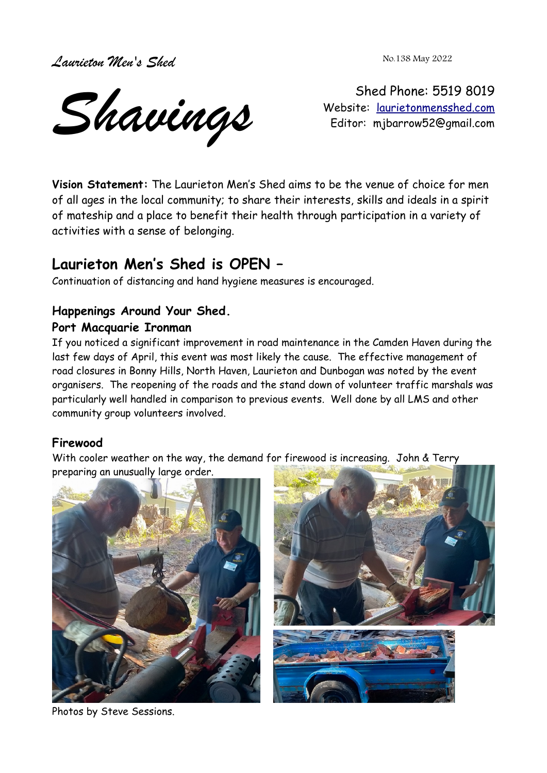*Laurieton Men's Shed* 

No.138 May 2022

*Shavings*

Shed Phone: 5519 8019 Website: [laurietonmensshed.com](http://laurietonmensshed.com.au/) Editor: mjbarrow52@gmail.com

**Vision Statement:** The Laurieton Men's Shed aims to be the venue of choice for men of all ages in the local community; to share their interests, skills and ideals in a spirit of mateship and a place to benefit their health through participation in a variety of activities with a sense of belonging.

# **Laurieton Men's Shed is OPEN –**

Continuation of distancing and hand hygiene measures is encouraged.

# **Happenings Around Your Shed.**

## **Port Macquarie Ironman**

If you noticed a significant improvement in road maintenance in the Camden Haven during the last few days of April, this event was most likely the cause. The effective management of road closures in Bonny Hills, North Haven, Laurieton and Dunbogan was noted by the event organisers. The reopening of the roads and the stand down of volunteer traffic marshals was particularly well handled in comparison to previous events. Well done by all LMS and other community group volunteers involved.

# **Firewood**

With cooler weather on the way, the demand for firewood is increasing. John & Terry preparing an unusually large order.





Photos by Steve Sessions.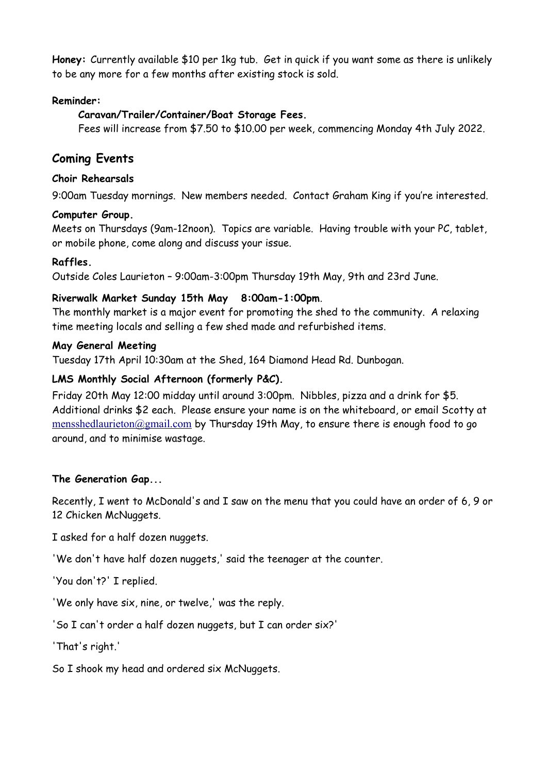**Honey:** Currently available \$10 per 1kg tub. Get in quick if you want some as there is unlikely to be any more for a few months after existing stock is sold.

#### **Reminder:**

### **Caravan/Trailer/Container/Boat Storage Fees.**

Fees will increase from \$7.50 to \$10.00 per week, commencing Monday 4th July 2022.

# **Coming Events**

#### **Choir Rehearsals**

9:00am Tuesday mornings. New members needed. Contact Graham King if you're interested.

#### **Computer Group.**

Meets on Thursdays (9am-12noon). Topics are variable. Having trouble with your PC, tablet, or mobile phone, come along and discuss your issue.

### **Raffles.**

Outside Coles Laurieton – 9:00am-3:00pm Thursday 19th May, 9th and 23rd June.

### **Riverwalk Market Sunday 15th May 8:00am-1:00pm**.

The monthly market is a major event for promoting the shed to the community. A relaxing time meeting locals and selling a few shed made and refurbished items.

#### **May General Meeting**

Tuesday 17th April 10:30am at the Shed, 164 Diamond Head Rd. Dunbogan.

### **LMS Monthly Social Afternoon (formerly P&C).**

Friday 20th May 12:00 midday until around 3:00pm. Nibbles, pizza and a drink for \$5. Additional drinks \$2 each. Please ensure your name is on the whiteboard, or email Scotty at [mensshedlaurieton@gmail.com](mailto:mensshedlaurieton@gmail.com) by Thursday 19th May, to ensure there is enough food to go around, and to minimise wastage.

#### **The Generation Gap...**

Recently, I went to McDonald's and I saw on the menu that you could have an order of 6, 9 or 12 Chicken McNuggets.

I asked for a half dozen nuggets.

'We don't have half dozen nuggets,' said the teenager at the counter.

'You don't?' I replied.

'We only have six, nine, or twelve,' was the reply.

'So I can't order a half dozen nuggets, but I can order six?'

'That's right.'

So I shook my head and ordered six McNuggets.